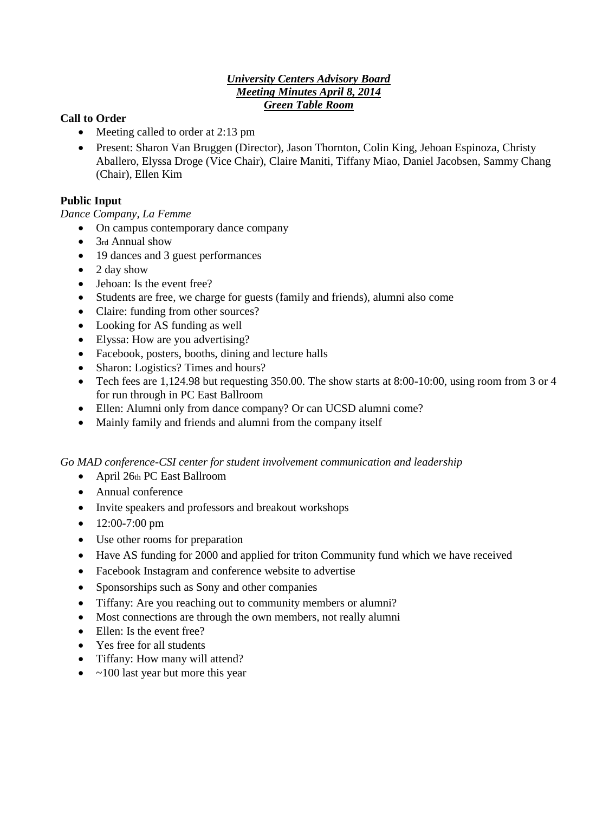### *University Centers Advisory Board Meeting Minutes April 8, 2014 Green Table Room*

# **Call to Order**

- Meeting called to order at 2:13 pm
- Present: Sharon Van Bruggen (Director), Jason Thornton, Colin King, Jehoan Espinoza, Christy Aballero, Elyssa Droge (Vice Chair), Claire Maniti, Tiffany Miao, Daniel Jacobsen, Sammy Chang (Chair), Ellen Kim

# **Public Input**

*Dance Company, La Femme* 

- On campus contemporary dance company
- $\bullet$  3rd Annual show
- 19 dances and 3 guest performances
- $\bullet$  2 day show
- Jehoan: Is the event free?
- Students are free, we charge for guests (family and friends), alumni also come
- Claire: funding from other sources?
- Looking for AS funding as well
- Elyssa: How are you advertising?
- Facebook, posters, booths, dining and lecture halls
- Sharon: Logistics? Times and hours?
- Tech fees are  $1,124.98$  but requesting 350.00. The show starts at 8:00-10:00, using room from 3 or 4 for run through in PC East Ballroom
- Ellen: Alumni only from dance company? Or can UCSD alumni come?
- Mainly family and friends and alumni from the company itself

*Go MAD conference-CSI center for student involvement communication and leadership* 

- April 26th PC East Ballroom
- Annual conference
- Invite speakers and professors and breakout workshops
- $\bullet$  12:00-7:00 pm
- Use other rooms for preparation
- Have AS funding for 2000 and applied for triton Community fund which we have received
- Facebook Instagram and conference website to advertise
- Sponsorships such as Sony and other companies
- Tiffany: Are you reaching out to community members or alumni?
- Most connections are through the own members, not really alumni
- Ellen: Is the event free?
- Yes free for all students
- Tiffany: How many will attend?
- $\bullet$  ~100 last year but more this year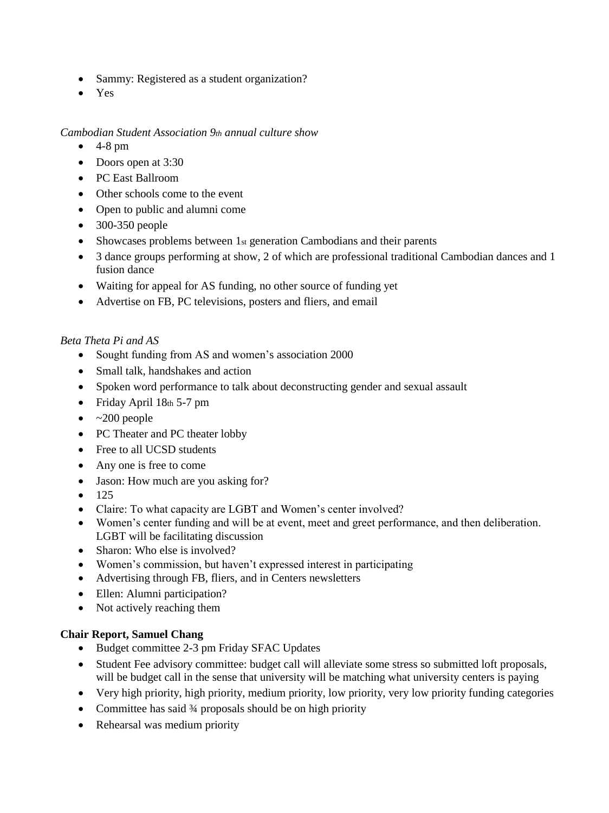- Sammy: Registered as a student organization?
- Yes

#### *Cambodian Student Association 9th annual culture show*

- $-4-8$  pm
- Doors open at 3:30
- PC East Ballroom
- Other schools come to the event
- Open to public and alumni come
- $\bullet$  300-350 people
- Showcases problems between 1st generation Cambodians and their parents
- 3 dance groups performing at show, 2 of which are professional traditional Cambodian dances and 1 fusion dance
- Waiting for appeal for AS funding, no other source of funding yet
- Advertise on FB, PC televisions, posters and fliers, and email

# *Beta Theta Pi and AS*

- Sought funding from AS and women's association 2000
- Small talk, handshakes and action
- Spoken word performance to talk about deconstructing gender and sexual assault
- Friday April  $18th 5-7$  pm
- $\bullet$  ~200 people
- PC Theater and PC theater lobby
- Free to all UCSD students
- Any one is free to come
- Jason: How much are you asking for?
- $125$
- Claire: To what capacity are LGBT and Women's center involved?
- Women's center funding and will be at event, meet and greet performance, and then deliberation. LGBT will be facilitating discussion
- Sharon: Who else is involved?
- Women's commission, but haven't expressed interest in participating
- Advertising through FB, fliers, and in Centers newsletters
- Ellen: Alumni participation?
- Not actively reaching them

# **Chair Report, Samuel Chang**

- Budget committee 2-3 pm Friday SFAC Updates
- Student Fee advisory committee: budget call will alleviate some stress so submitted loft proposals, will be budget call in the sense that university will be matching what university centers is paying
- Very high priority, high priority, medium priority, low priority, very low priority funding categories
- Committee has said 3⁄4 proposals should be on high priority
- Rehearsal was medium priority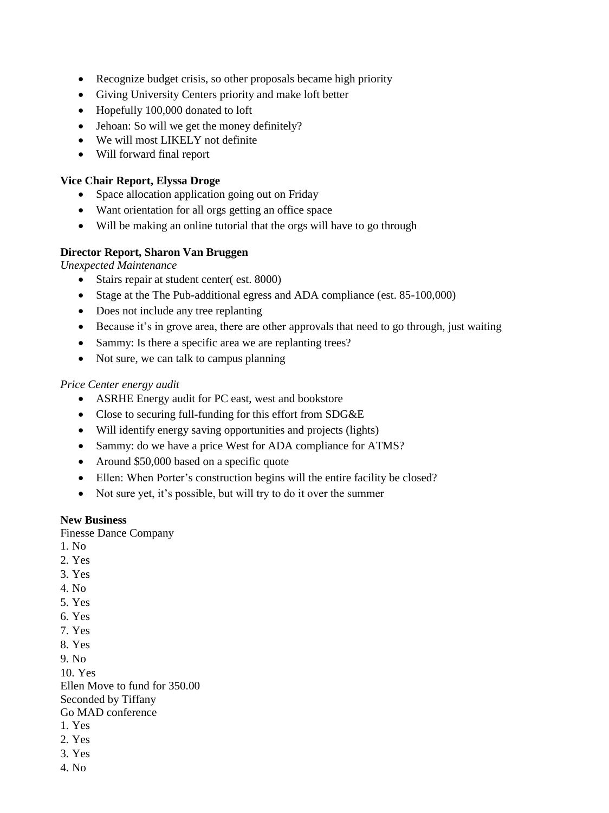- Recognize budget crisis, so other proposals became high priority
- Giving University Centers priority and make loft better
- Hopefully 100,000 donated to loft
- Jehoan: So will we get the money definitely?
- We will most LIKELY not definite
- Will forward final report

# **Vice Chair Report, Elyssa Droge**

- Space allocation application going out on Friday
- Want orientation for all orgs getting an office space
- Will be making an online tutorial that the orgs will have to go through

### **Director Report, Sharon Van Bruggen**

*Unexpected Maintenance* 

- Stairs repair at student center( est. 8000)
- Stage at the The Pub-additional egress and ADA compliance (est. 85-100,000)
- Does not include any tree replanting
- Because it's in grove area, there are other approvals that need to go through, just waiting
- Sammy: Is there a specific area we are replanting trees?
- Not sure, we can talk to campus planning

### *Price Center energy audit*

- ASRHE Energy audit for PC east, west and bookstore
- Close to securing full-funding for this effort from SDG&E
- Will identify energy saving opportunities and projects (lights)
- Sammy: do we have a price West for ADA compliance for ATMS?
- Around \$50,000 based on a specific quote
- Ellen: When Porter's construction begins will the entire facility be closed?
- Not sure yet, it's possible, but will try to do it over the summer

#### **New Business**

Finesse Dance Company

- 1. No
- 2. Yes
- 3. Yes
- 4. No
- 5. Yes
- 6. Yes
- 7. Yes
- 8. Yes

9. No

10. Yes

Ellen Move to fund for 350.00 Seconded by Tiffany Go MAD conference

- 1. Yes
- 2. Yes
- 3. Yes
- 4. No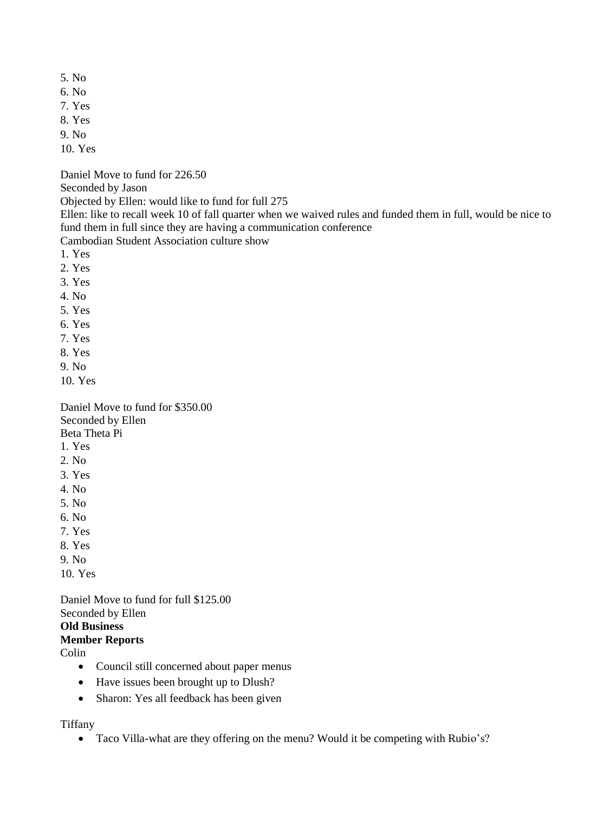- 5. No
- 6. No
- 7. Yes
- 8. Yes
- 9. No
- 10. Yes

Daniel Move to fund for 226.50

Seconded by Jason

Objected by Ellen: would like to fund for full 275

Ellen: like to recall week 10 of fall quarter when we waived rules and funded them in full, would be nice to fund them in full since they are having a communication conference

Cambodian Student Association culture show

- 1. Yes
- 2. Yes
- 3. Yes
- 4. No
- 5. Yes
- 6. Yes
- 7. Yes
- 8. Yes
- 9. No
- 10. Yes

Daniel Move to fund for \$350.00 Seconded by Ellen Beta Theta Pi

- 1. Yes
- 2. No
- 3. Yes
- 4. No
- 5. No
- 6. No
- 7. Yes
- 8. Yes
- 9. No
- 10. Yes

Daniel Move to fund for full \$125.00 Seconded by Ellen **Old Business Member Reports** 

Colin

- Council still concerned about paper menus
- Have issues been brought up to Dlush?
- Sharon: Yes all feedback has been given

Tiffany

Taco Villa-what are they offering on the menu? Would it be competing with Rubio's?